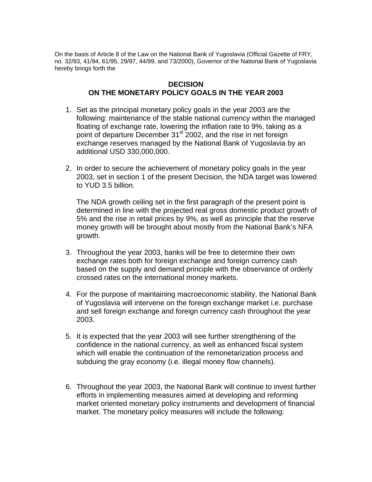On the basis of Article 8 of the Law on the National Bank of Yugoslavia (Official Gazette of FRY, no. 32/93, 41/94, 61/95, 29/97, 44/99, and 73/2000), Governor of the National Bank of Yugoslavia hereby brings forth the

## **DECISION ON THE MONETARY POLICY GOALS IN THE YEAR 2003**

- 1. Set as the principal monetary policy goals in the year 2003 are the following: maintenance of the stable national currency within the managed floating of exchange rate, lowering the inflation rate to 9%, taking as a point of departure December 31<sup>st</sup> 2002, and the rise in net foreign exchange reserves managed by the National Bank of Yugoslavia by an additional USD 330,000,000.
- 2. In order to secure the achievement of monetary policy goals in the year 2003, set in section 1 of the present Decision, the NDA target was lowered to YUD 3.5 billion.

The NDA growth ceiling set in the first paragraph of the present point is determined in line with the projected real gross domestic product growth of 5% and the rise in retail prices by 9%, as well as principle that the reserve money growth will be brought about mostly from the National Bank's NFA growth.

- 3. Throughout the year 2003, banks will be free to determine their own exchange rates both for foreign exchange and foreign currency cash based on the supply and demand principle with the observance of orderly crossed rates on the international money markets.
- 4. For the purpose of maintaining macroeconomic stability, the National Bank of Yugoslavia will intervene on the foreign exchange market i.e. purchase and sell foreign exchange and foreign currency cash throughout the year 2003.
- 5. It is expected that the year 2003 will see further strengthening of the confidence in the national currency, as well as enhanced fiscal system which will enable the continuation of the remonetarization process and subduing the gray economy (i.e. illegal money flow channels).
- 6. Throughout the year 2003, the National Bank will continue to invest further efforts in implementing measures aimed at developing and reforming market oriented monetary policy instruments and development of financial market. The monetary policy measures will include the following: